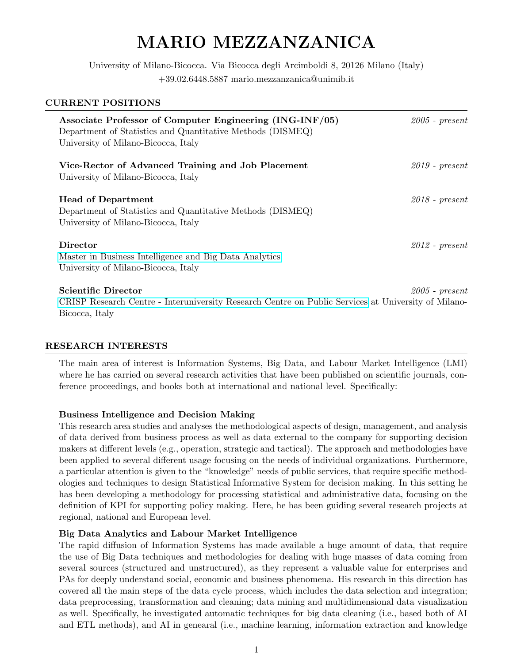# MARIO MEZZANZANICA

University of Milano-Bicocca. Via Bicocca degli Arcimboldi 8, 20126 Milano (Italy) +39.02.6448.5887 mario.mezzanzanica@unimib.it

| <b>CURRENT POSITIONS</b>                                                                                                                                      |                    |
|---------------------------------------------------------------------------------------------------------------------------------------------------------------|--------------------|
| Associate Professor of Computer Engineering (ING-INF/05)<br>Department of Statistics and Quantitative Methods (DISMEQ)<br>University of Milano-Bicocca, Italy | $2005$ - $present$ |
| Vice-Rector of Advanced Training and Job Placement<br>University of Milano-Bicocca, Italy                                                                     | $2019$ - present   |
| <b>Head of Department</b><br>Department of Statistics and Quantitative Methods (DISMEQ)<br>University of Milano-Bicocca, Italy                                | $2018$ - present   |
| <b>Director</b><br>Master in Business Intelligence and Big Data Analytics<br>University of Milano-Bicocca, Italy                                              | $2012$ - present   |
| <b>Scientific Director</b><br>CRISP Research Centre - Interuniversity Research Centre on Public Services at University of Milano-                             | $2005$ - $present$ |

# RESEARCH INTERESTS

Bicocca, Italy

The main area of interest is Information Systems, Big Data, and Labour Market Intelligence (LMI) where he has carried on several research activities that have been published on scientific journals, conference proceedings, and books both at international and national level. Specifically:

#### Business Intelligence and Decision Making

This research area studies and analyses the methodological aspects of design, management, and analysis of data derived from business process as well as data external to the company for supporting decision makers at different levels (e.g., operation, strategic and tactical). The approach and methodologies have been applied to several different usage focusing on the needs of individual organizations. Furthermore, a particular attention is given to the "knowledge" needs of public services, that require specific methodologies and techniques to design Statistical Informative System for decision making. In this setting he has been developing a methodology for processing statistical and administrative data, focusing on the definition of KPI for supporting policy making. Here, he has been guiding several research projects at regional, national and European level.

#### Big Data Analytics and Labour Market Intelligence

The rapid diffusion of Information Systems has made available a huge amount of data, that require the use of Big Data techniques and methodologies for dealing with huge masses of data coming from several sources (structured and unstructured), as they represent a valuable value for enterprises and PAs for deeply understand social, economic and business phenomena. His research in this direction has covered all the main steps of the data cycle process, which includes the data selection and integration; data preprocessing, transformation and cleaning; data mining and multidimensional data visualization as well. Specifically, he investigated automatic techniques for big data cleaning (i.e., based both of AI and ETL methods), and AI in genearal (i.e., machine learning, information extraction and knowledge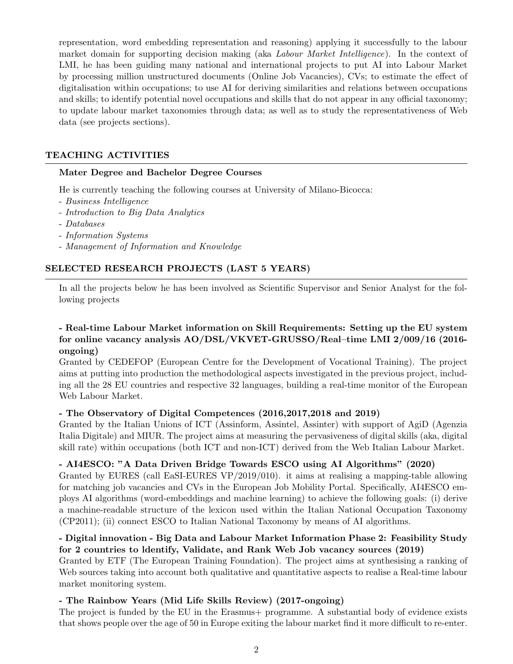representation, word embedding representation and reasoning) applying it successfully to the labour market domain for supporting decision making (aka Labour Market Intelligence). In the context of LMI, he has been guiding many national and international projects to put AI into Labour Market by processing million unstructured documents (Online Job Vacancies), CVs; to estimate the effect of digitalisation within occupations; to use AI for deriving similarities and relations between occupations and skills; to identify potential novel occupations and skills that do not appear in any official taxonomy; to update labour market taxonomies through data; as well as to study the representativeness of Web data (see projects sections).

# TEACHING ACTIVITIES

# Mater Degree and Bachelor Degree Courses

He is currently teaching the following courses at University of Milano-Bicocca:

- Business Intelligence
- Introduction to Big Data Analytics
- Databases
- Information Systems
- Management of Information and Knowledge

# SELECTED RESEARCH PROJECTS (LAST 5 YEARS)

In all the projects below he has been involved as Scientific Supervisor and Senior Analyst for the following projects

# - Real-time Labour Market information on Skill Requirements: Setting up the EU system for online vacancy analysis AO/DSL/VKVET-GRUSSO/Real–time LMI 2/009/16 (2016 ongoing)

Granted by CEDEFOP (European Centre for the Development of Vocational Training). The project aims at putting into production the methodological aspects investigated in the previous project, including all the 28 EU countries and respective 32 languages, building a real-time monitor of the European Web Labour Market.

# - The Observatory of Digital Competences (2016,2017,2018 and 2019)

Granted by the Italian Unions of ICT (Assinform, Assintel, Assinter) with support of AgiD (Agenzia Italia Digitale) and MIUR. The project aims at measuring the pervasiveness of digital skills (aka, digital skill rate) within occupations (both ICT and non-ICT) derived from the Web Italian Labour Market.

# - AI4ESCO: "A Data Driven Bridge Towards ESCO using AI Algorithms" (2020)

Granted by EURES (call EaSI-EURES VP/2019/010). it aims at realising a mapping-table allowing for matching job vacancies and CVs in the European Job Mobility Portal. Specifically, AI4ESCO employs AI algorithms (word-embeddings and machine learning) to achieve the following goals: (i) derive a machine-readable structure of the lexicon used within the Italian National Occupation Taxonomy (CP2011); (ii) connect ESCO to Italian National Taxonomy by means of AI algorithms.

# - Digital innovation - Big Data and Labour Market Information Phase 2: Feasibility Study for 2 countries to ldentify, Validate, and Rank Web Job vacancy sources (2019)

Granted by ETF (The European Training Foundation). The project aims at synthesising a ranking of Web sources taking into account both qualitative and quantitative aspects to realise a Real-time labour market monitoring system.

# - The Rainbow Years (Mid Life Skills Review) (2017-ongoing)

The project is funded by the EU in the Erasmus+ programme. A substantial body of evidence exists that shows people over the age of 50 in Europe exiting the labour market find it more difficult to re-enter.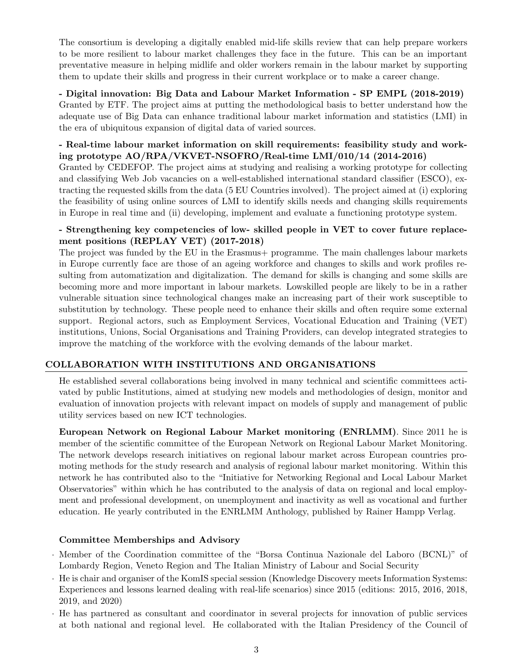The consortium is developing a digitally enabled mid-life skills review that can help prepare workers to be more resilient to labour market challenges they face in the future. This can be an important preventative measure in helping midlife and older workers remain in the labour market by supporting them to update their skills and progress in their current workplace or to make a career change.

- Digital innovation: Big Data and Labour Market Information - SP EMPL (2018-2019) Granted by ETF. The project aims at putting the methodological basis to better understand how the adequate use of Big Data can enhance traditional labour market information and statistics (LMI) in the era of ubiquitous expansion of digital data of varied sources.

# - Real-time labour market information on skill requirements: feasibility study and working prototype AO/RPA/VKVET-NSOFRO/Real-time LMI/010/14 (2014-2016)

Granted by CEDEFOP. The project aims at studying and realising a working prototype for collecting and classifying Web Job vacancies on a well-established international standard classifier (ESCO), extracting the requested skills from the data (5 EU Countries involved). The project aimed at (i) exploring the feasibility of using online sources of LMI to identify skills needs and changing skills requirements in Europe in real time and (ii) developing, implement and evaluate a functioning prototype system.

# - Strengthening key competencies of low- skilled people in VET to cover future replacement positions (REPLAY VET) (2017-2018)

The project was funded by the EU in the Erasmus programme. The main challenges labour markets in Europe currently face are those of an ageing workforce and changes to skills and work profiles resulting from automatization and digitalization. The demand for skills is changing and some skills are becoming more and more important in labour markets. Lowskilled people are likely to be in a rather vulnerable situation since technological changes make an increasing part of their work susceptible to substitution by technology. These people need to enhance their skills and often require some external support. Regional actors, such as Employment Services, Vocational Education and Training (VET) institutions, Unions, Social Organisations and Training Providers, can develop integrated strategies to improve the matching of the workforce with the evolving demands of the labour market.

# COLLABORATION WITH INSTITUTIONS AND ORGANISATIONS

He established several collaborations being involved in many technical and scientific committees activated by public Institutions, aimed at studying new models and methodologies of design, monitor and evaluation of innovation projects with relevant impact on models of supply and management of public utility services based on new ICT technologies.

European Network on Regional Labour Market monitoring (ENRLMM). Since 2011 he is member of the scientific committee of the European Network on Regional Labour Market Monitoring. The network develops research initiatives on regional labour market across European countries promoting methods for the study research and analysis of regional labour market monitoring. Within this network he has contributed also to the "Initiative for Networking Regional and Local Labour Market Observatories" within which he has contributed to the analysis of data on regional and local employment and professional development, on unemployment and inactivity as well as vocational and further education. He yearly contributed in the ENRLMM Anthology, published by Rainer Hampp Verlag.

# Committee Memberships and Advisory

- · Member of the Coordination committee of the "Borsa Continua Nazionale del Laboro (BCNL)" of Lombardy Region, Veneto Region and The Italian Ministry of Labour and Social Security
- · He is chair and organiser of the KomIS special session (Knowledge Discovery meets Information Systems: Experiences and lessons learned dealing with real-life scenarios) since 2015 (editions: 2015, 2016, 2018, 2019, and 2020)
- · He has partnered as consultant and coordinator in several projects for innovation of public services at both national and regional level. He collaborated with the Italian Presidency of the Council of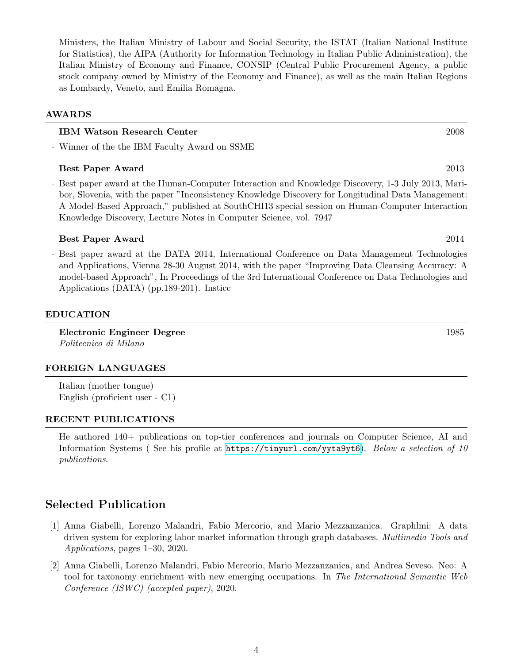Ministers, the Italian Ministry of Labour and Social Security, the ISTAT (Italian National Institute for Statistics), the AIPA (Authority for Information Technology in Italian Public Administration), the Italian Ministry of Economy and Finance, CONSIP (Central Public Procurement Agency, a public stock company owned by Ministry of the Economy and Finance), as well as the main Italian Regions as Lombardy, Veneto, and Emilia Romagna.

# AWARDS

# IBM Watson Research Center 2008

· Winner of the the IBM Faculty Award on SSME

# Best Paper Award 2013

· Best paper award at the Human-Computer Interaction and Knowledge Discovery, 1-3 July 2013, Maribor, Slovenia, with the paper "Inconsistency Knowledge Discovery for Longitudinal Data Management: A Model-Based Approach," published at SouthCHI13 special session on Human-Computer Interaction Knowledge Discovery, Lecture Notes in Computer Science, vol. 7947

# Best Paper Award 2014

· Best paper award at the DATA 2014, International Conference on Data Management Technologies and Applications, Vienna 28-30 August 2014, with the paper "Improving Data Cleansing Accuracy: A model-based Approach", In Proceedings of the 3rd International Conference on Data Technologies and Applications (DATA) (pp.189-201). Insticc

# EDUCATION

Electronic Engineer Degree 1985 Politecnico di Milano

# FOREIGN LANGUAGES

Italian (mother tongue) English (proficient user - C1)

# RECENT PUBLICATIONS

He authored 140+ publications on top-tier conferences and journals on Computer Science, AI and Information Systems ( See his profile at <https://tinyurl.com/yyta9yt6>). Below a selection of 10 publications.

# Selected Publication

- [1] Anna Giabelli, Lorenzo Malandri, Fabio Mercorio, and Mario Mezzanzanica. Graphlmi: A data driven system for exploring labor market information through graph databases. Multimedia Tools and Applications, pages 1–30, 2020.
- [2] Anna Giabelli, Lorenzo Malandri, Fabio Mercorio, Mario Mezzanzanica, and Andrea Seveso. Neo: A tool for taxonomy enrichment with new emerging occupations. In The International Semantic Web Conference (ISWC) (accepted paper), 2020.